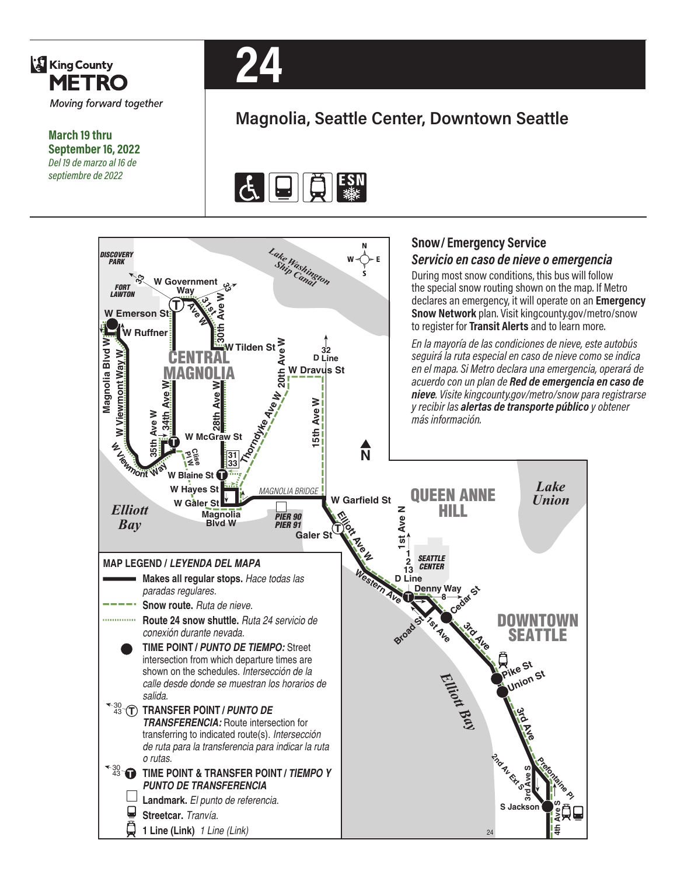

**March 19 thru September 16, 2022** *Del 19 de marzo al 16 de septiembre de 2022*



## **Magnolia, Seattle Center, Downtown Seattle**



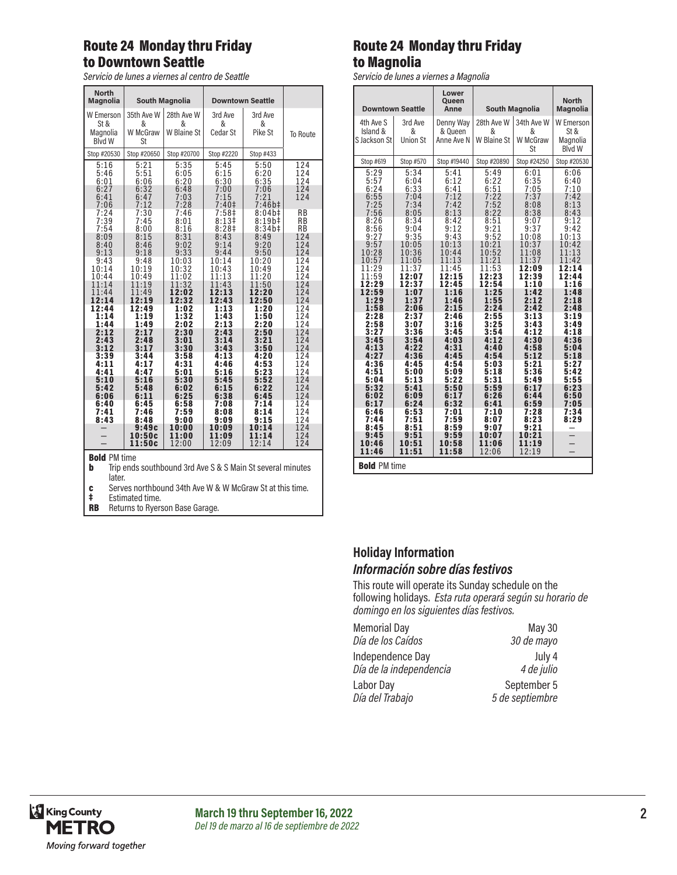### Route 24 Monday thru Friday to Downtown Seattle

*Servicio de lunes a viernes al centro de Seattle*

| <b>North</b><br><b>Magnolia</b>                       | <b>South Magnolia</b>                        |                                              | <b>Downtown Seattle</b>                                     |                                                                      |                                                   |  |
|-------------------------------------------------------|----------------------------------------------|----------------------------------------------|-------------------------------------------------------------|----------------------------------------------------------------------|---------------------------------------------------|--|
| <b>W</b> Emerson<br>St &<br>Magnolia<br><b>Blvd W</b> | 35th Ave W<br>&<br>W McGraw<br>St            | 28th Ave W<br>&<br>W Blaine St               | 3rd Ave<br>&<br>Cedar St                                    | 3rd Ave<br>&<br>Pike St                                              | To Route                                          |  |
| Stop #20530                                           | Stop #20650                                  | Stop #20700                                  | Stop #2220                                                  | Stop #433                                                            |                                                   |  |
| 5:16<br>5:46<br>6:01<br>6:27<br>6:41<br>7:06          | 5:21<br>5:51<br>6:06<br>6:32<br>6:47<br>7:12 | 5:35<br>6:05<br>6:20<br>6:48<br>7:03<br>7:28 | 5:45<br>6:15<br>6:30<br>7:00<br>7:15<br>7:40 <sup>‡</sup>   | 5:50<br>6:20<br>6:35<br>7:06<br>7:21<br>$7:46b\ddagger$              | 124<br>124<br>124<br>124<br>124                   |  |
| 7:24<br>7:39<br>7:54<br>8:09<br>8:40<br>9:13          | 7:30<br>7:45<br>8:00<br>8:15<br>8:46<br>9:18 | 7:46<br>8:01<br>8:16<br>8:31<br>9:02<br>9:33 | 7:58‡<br>8:13#<br>8:28 <sup>‡</sup><br>8:43<br>9:14<br>9:44 | $8:04b\ddagger$<br>$8:19b\ddagger$<br>8:34b#<br>8:49<br>9:20<br>9:50 | <b>RB</b><br><b>RB</b><br>RB<br>124<br>124<br>124 |  |
| 9:43<br>10:14<br>10:44<br>11:14                       | 9:48<br>10:19<br>10:49<br>11:19              | 10:03<br>10:32<br>11:02<br>11:32             | 10:14<br>10:43<br>11:13<br>11:43                            | 10:20<br>10:49<br>11:20<br>11:50                                     | 124<br>124<br>124<br>124                          |  |
| 11:44<br>12:14<br>12:44<br>1:14<br>1:44               | 11:49<br>12:19<br>12:49<br>1:19<br>1:49      | 12:02<br>12:32<br>1:02<br>1:32<br>2:02       | 12:13<br>12:43<br>1:13<br>1:43<br>2:13                      | 12:20<br>12:50<br>1:20<br>1:50<br>2:20                               | 124<br>124<br>124<br>124<br>124                   |  |
| 2:12<br>2:43<br>3:12<br>3:39<br>4:11<br>4:41          | 2:17<br>2:48<br>3:17<br>3:44<br>4:17<br>4:47 | 2:30<br>3:01<br>3:30<br>3:58<br>4:31<br>5:01 | 2:43<br>3:14<br>3:43<br>4:13<br>4:46<br>5:16                | 2:50<br>3:21<br>3:50<br>4:20<br>4:53<br>5:23                         | 124<br>124<br>124<br>124<br>124<br>124            |  |
| 5:10<br>5:42<br>6:06<br>6:40                          | 5:16<br>5:48<br>6:11<br>6:45                 | 5:30<br>6:02<br>6:25<br>6:58                 | 5:45<br>6:15<br>6:38<br>7:08                                | 5:52<br>6:22<br>6:45<br>7:14                                         | 124<br>124<br>124<br>124                          |  |
| 7:41<br>8:43                                          | 7:46<br>8:48<br>9:49c<br>10:50c<br>11:50c    | 7:59<br>9:00<br>10:00<br>11:00<br>12:00      | 8:08<br>9:09<br>10:09<br>11:09<br>12:09                     | 8:14<br>9:15<br>10:14<br>11:14<br>12:14                              | 124<br>124<br>124<br>124<br>124                   |  |
| <b>Bold PM time</b>                                   |                                              |                                              |                                                             |                                                                      |                                                   |  |

**Bold PM** time

**b** Trip ends southbound 3rd Ave S & S Main St several minutes later.

c Serves northbound 34th Ave W & W McGraw St at this time.

Estimated time.

**RB** Returns to Ryerson Base Garage.

## Route 24 Monday thru Friday to Magnolia

*Servicio de lunes a viernes a Magnolia*

| <b>Downtown Seattle</b>  |                      | Lower<br>Queen<br>Anne | <b>South Magnolia</b> |                      | <b>North</b><br><b>Magnolia</b> |
|--------------------------|----------------------|------------------------|-----------------------|----------------------|---------------------------------|
| 4th Ave S                | 3rd Ave              | Denny Way              | 28th Ave W            | 34th Ave W           | W Emerson                       |
| Island &                 | &                    | & Queen                | &                     | &                    | St &                            |
| S Jackson St             | <b>Union St</b>      | Anne Ave N             | W Blaine St           | W McGraw<br>St       | Magnolia<br><b>Blvd W</b>       |
| Stop #619                | Stop #570            | Stop #19440            | Stop #20890           | Stop #24250          | Stop #20530                     |
| 5:29                     | 5:34                 | 5:41                   | 5:49                  | 6:01                 | 6:06                            |
| 5:57                     | 6:04                 | 6:12                   | 6:22                  | 6:35                 | 6:40                            |
| 6:24                     | 6:33                 | 6:41                   | 6:51                  | 7:05                 | 7:10                            |
| $6:55$<br>$7:25$<br>7:56 | 7:04<br>7:34<br>8:05 | 7:12<br>7:42<br>8:13   | 7:22<br>7:52<br>8:22  | 7:37<br>8:08<br>8:38 | 7:42<br>8:13<br>8:43            |
| 8:26                     | 8:34                 | 8:42                   | 8:51                  | 9:07                 | 9:12                            |
| 8:56                     | 9:04                 | 9:12                   | 9:21                  | 9:37                 | 9:42                            |
| 9:27                     | 9:35                 | 9:43                   | 9:52                  | 10:08                | 10:13                           |
| 9:57                     | 10:05                | 10:13                  | 10:21                 | 10:37                | 10:42                           |
| 10:28                    | 10:36                | 10:44                  | 10:52                 | 11:08                | 11:13                           |
| 10:57                    | 11:05                | 11:13                  | 11:21                 | 11:37                | 11:42                           |
| 11:29                    | 11:37                | 11:45                  | 11:53                 | 12:09                | 12:14                           |
| 11:59                    | 12:07                | 12:15                  | 12:23                 | 12:39                | 12:44                           |
| 12:29                    | 12:37                | 12:45                  | 12:54                 | 1:10                 | 1:16                            |
| 12:59                    | 1:07                 | 1:16                   | 1:25                  | 1:42                 | 1:48                            |
| 1:29                     | 1:37                 | 1:46                   | 1:55                  | 2:12                 | 2:18                            |
| 1:58                     | 2:06                 | 2:15                   | 2:24                  | 2:42                 | 2:48                            |
| 2:28                     | 2:37                 | 2:46                   | 2:55                  | 3:13                 | 3:19                            |
| 2:58                     | 3:07                 | 3:16                   | 3:25                  | 3:43                 | 3:49                            |
| 3:27                     | 3:36                 | 3:45                   | 3:54                  | 4:12                 | 4:18                            |
| 3:45                     | 3:54                 | 4:03                   | 4:12                  | 4:30                 | 4:36                            |
| 4:13                     | 4:22                 | 4:31                   | 4:40                  | 4:58                 | 5:04                            |
| 4:27                     | 4:36                 | 4:45                   | 4:54                  | 5:12                 | 5:18                            |
| 4:36                     | 4:45                 | 4:54                   | 5:03                  | 5:21                 | 5:27                            |
| 4:51                     | 5:00                 | 5:09                   | 5:18                  | 5:36                 | 5:42                            |
| 5:04                     | 5:13                 | 5:22                   | 5:31                  | 5:49                 | 5:55                            |
| 5:32                     | 5:41                 | 5:50                   | 5:59                  | 6:17                 | 6:23                            |
| 6:02                     | 6:09                 | 6:17                   | 6:26                  | 6:44                 | 6:50                            |
| 6:17                     | 6:24                 | 6:32                   | 6:41                  | 6:59                 | 7:05                            |
| 6:46<br>7:44<br>8:45     | 6:53<br>7:51<br>8:51 | 7:01<br>7:59<br>8:59   | 7:10<br>8:07<br>9:07  | 7:28<br>8:23<br>9:21 | 7:34<br>8:29                    |
| 9:45                     | 9:51                 | 9:59                   | 10:07                 | 10:21                |                                 |
| 10:46                    | 10:51                | 10:58                  | 11:06                 | 11:19                |                                 |
| 11:46                    | 11:51                | 11:58                  | 12:06                 | 12:19                |                                 |
| <b>Bold PM time</b>      |                      |                        |                       |                      |                                 |

# **Holiday Information**

#### *Información sobre días festivos*

This route will operate its Sunday schedule on the following holidays. *Esta ruta operará según su horario de domingo en los siguientes días festivos.*

| <b>Memorial Day</b>     | May 30          |
|-------------------------|-----------------|
| Día de los Caídos       | 30 de mayo      |
| Independence Day        | July 4          |
| Día de la independencia | 4 de julio      |
| Labor Day               | September 5     |
| Día del Trabajo         | 5 de septiembre |

 $\overline{\phantom{a}}$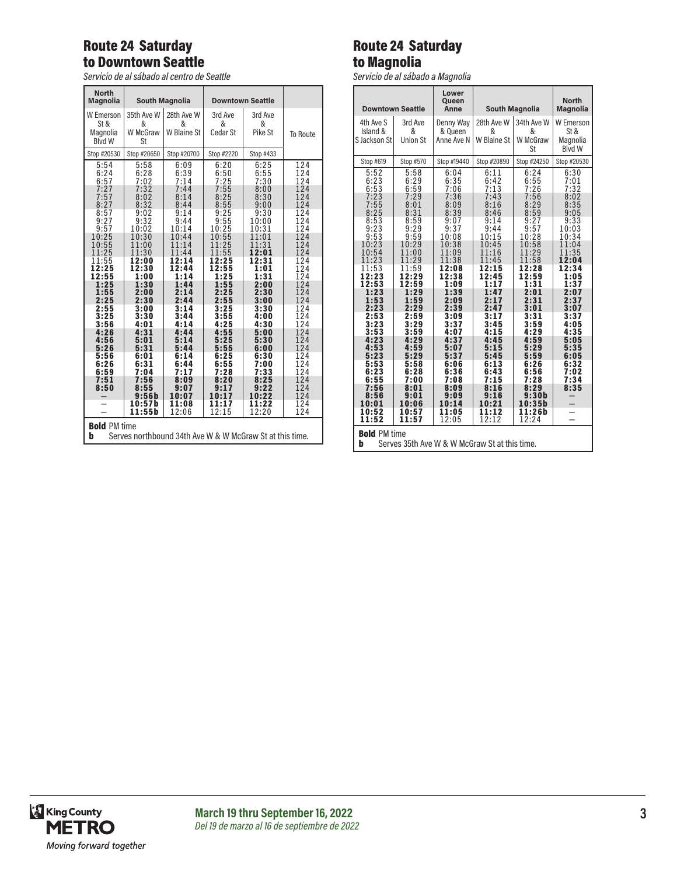## Route 24 Saturday to Downtown Seattle

*Servicio de al sábado al centro de Seattle*

| <b>North</b><br><b>Magnolia</b>                                                                                                            | <b>South Magnolia</b>                                                                                                                      |                                                                                                                                            | <b>Downtown Seattle</b>                                                                                                                    |                                                                                                                                            |                                                                                                                     |
|--------------------------------------------------------------------------------------------------------------------------------------------|--------------------------------------------------------------------------------------------------------------------------------------------|--------------------------------------------------------------------------------------------------------------------------------------------|--------------------------------------------------------------------------------------------------------------------------------------------|--------------------------------------------------------------------------------------------------------------------------------------------|---------------------------------------------------------------------------------------------------------------------|
| W Emerson<br>St &<br>Magnolia<br><b>Blvd W</b>                                                                                             | 35th Ave W<br>&<br>W McGraw<br>St                                                                                                          | 28th Ave W<br>&<br>W Blaine St                                                                                                             | 3rd Ave<br>&<br>Cedar St                                                                                                                   | 3rd Ave<br>&<br>Pike St                                                                                                                    | To Route                                                                                                            |
| Stop #20530                                                                                                                                | Stop #20650                                                                                                                                | Stop #20700                                                                                                                                | Stop #2220                                                                                                                                 | Stop #433                                                                                                                                  |                                                                                                                     |
| 5:54<br>6:24<br>6:57                                                                                                                       | 5:58<br>6:28<br>7:02                                                                                                                       | 6:09<br>6:39<br>7:14                                                                                                                       | 6:20<br>6:50<br>7:25                                                                                                                       | 6:25<br>6:55<br>7:30                                                                                                                       | 124<br>124<br>124                                                                                                   |
| 7:27<br>7:57<br>8:27<br>8:57<br>9:27<br>9:57<br>10:25<br>10:55<br>11:25<br>11:55<br>12:25<br>12:55<br>1:25<br>1:55<br>2:25<br>2:55<br>3:25 | 7:32<br>8:02<br>8:32<br>9:02<br>9:32<br>10:02<br>10:30<br>11:00<br>11:30<br>12:00<br>12:30<br>1:00<br>1:30<br>2:00<br>2:30<br>3:00<br>3:30 | 7:44<br>8:14<br>8:44<br>9:14<br>9:44<br>10:14<br>10:44<br>11:14<br>11:44<br>12:14<br>12:44<br>1:14<br>1:44<br>2:14<br>2:44<br>3:14<br>3:44 | 7:55<br>8:25<br>8:55<br>9:25<br>9:55<br>10:25<br>10:55<br>11:25<br>11:55<br>12:25<br>12:55<br>1:25<br>1:55<br>2:25<br>2:55<br>3:25<br>3:55 | 8:00<br>8:30<br>9:00<br>9:30<br>10:00<br>10:31<br>11:01<br>11:31<br>12:01<br>12:31<br>1:01<br>1:31<br>2:00<br>2:30<br>3:00<br>3:30<br>4:00 | 124<br>124<br>124<br>124<br>124<br>124<br>124<br>124<br>124<br>124<br>124<br>124<br>124<br>124<br>124<br>124<br>124 |
| 3:56<br>4:26<br>4:56<br>5:26<br>5:56<br>6:26<br>6:59<br>7:51<br>8:50<br>-                                                                  | 4:01<br>4:31<br>5:01<br>5:31<br>6:01<br>6:31<br>7:04<br>7:56<br>8:55<br>9:56b<br>10:57b<br>11:55b                                          | 4:14<br>4:44<br>5:14<br>5:44<br>6:14<br>6:44<br>7:17<br>8:09<br>9:07<br>10:07<br>11:08<br>12:06                                            | 4:25<br>4:55<br>5:25<br>5:55<br>6:25<br>6:55<br>7:28<br>8:20<br>9:17<br>10:17<br>11:17<br>12:15                                            | 4:30<br>5:00<br>5:30<br>6:00<br>6:30<br>7:00<br>7:33<br>8:25<br>9:22<br>10:22<br>11:22<br>12:20                                            | 124<br>124<br>124<br>124<br>124<br>124<br>124<br>124<br>124<br>124<br>124<br>124                                    |
| <b>Bold PM time</b><br>b<br>Serves northbound 34th Ave W & W McGraw St at this time.                                                       |                                                                                                                                            |                                                                                                                                            |                                                                                                                                            |                                                                                                                                            |                                                                                                                     |

## Route 24 Saturday to Magnolia

*Servicio de al sábado a Magnolia*

| <b>Downtown Seattle</b>                                                                                                                 |                                                                                                                                         | Lower<br>Queen<br>Anne                                                                                                                  | <b>South Magnolia</b>                                                                                                                   |                                                                                                                                                        | <b>North</b><br><b>Magnolia</b>                                                                                                  |
|-----------------------------------------------------------------------------------------------------------------------------------------|-----------------------------------------------------------------------------------------------------------------------------------------|-----------------------------------------------------------------------------------------------------------------------------------------|-----------------------------------------------------------------------------------------------------------------------------------------|--------------------------------------------------------------------------------------------------------------------------------------------------------|----------------------------------------------------------------------------------------------------------------------------------|
| 4th Ave S<br>Island &<br>S Jackson St                                                                                                   | 3rd Ave<br>&<br><b>Union St</b>                                                                                                         | Denny Way<br>& Queen<br>Anne Ave N                                                                                                      | 28th Ave W<br>&<br>W Blaine St                                                                                                          | 34th Ave W<br>&<br>W McGraw<br>St                                                                                                                      | W Emerson<br>St &<br>Magnolia<br><b>Blvd W</b>                                                                                   |
| Stop #619                                                                                                                               | Stop #570                                                                                                                               | Stop #19440                                                                                                                             | Stop #20890                                                                                                                             | Stop #24250                                                                                                                                            | Stop #20530                                                                                                                      |
| 5:52<br>6:23<br>6:53<br>7:23<br>7:55<br>8:25<br>8:53<br>9:23<br>9:53<br>10:23<br>10:54<br>11:23<br>11:53                                | 5:58<br>6:29<br>6:59<br>7:29<br>8:01<br>8:31<br>8:59<br>9:29<br>9:59<br>10:29<br>11:00<br>11:29<br>11:59                                | 6:04<br>6:35<br>7:06<br>7:36<br>8:09<br>8:39<br>9:07<br>9:37<br>10:08<br>10:38<br>11:09<br>11:38<br>12:08                               | 6:11<br>6:42<br>7:13<br>7:43<br>8:16<br>8:46<br>9:14<br>9:44<br>10:15<br>10:45<br>11:16<br>11:45<br>12:15                               | 6:24<br>6:55<br>7:26<br>7:56<br>8:29<br>8:59<br>9:27<br>9:57<br>10:28<br>10:58<br>11:29<br>11:58<br>12:28                                              | 6:30<br>7:01<br>7:32<br>8:02<br>8:35<br>9:05<br>9:33<br>10:03<br>10:34<br>11:04<br>11:35<br>12:04<br>12:34                       |
| 12:23<br>12:53                                                                                                                          | 12:29<br>12:59                                                                                                                          | 12:38<br>1:09                                                                                                                           | 12:45<br>1:17                                                                                                                           | 12:59<br>1:31                                                                                                                                          | 1:05<br>1:37                                                                                                                     |
| 1:23<br>1:53<br>2:23<br>2:53<br>3:23<br>3:53<br>4:23<br>4:53<br>5:23<br>5:53<br>6:23<br>6:55<br>7:56<br>8:56<br>10:01<br>10:52<br>11:52 | 1:29<br>1:59<br>2:29<br>2:59<br>3:29<br>3:59<br>4:29<br>4:59<br>5:29<br>5:58<br>6:28<br>7:00<br>8:01<br>9:01<br>10:06<br>10:57<br>11:57 | 1:39<br>2:09<br>2:39<br>3:09<br>3:37<br>4:07<br>4:37<br>5:07<br>5:37<br>6:06<br>6:36<br>7:08<br>8:09<br>9:09<br>10:14<br>11:05<br>12:05 | 1:47<br>2:17<br>2:47<br>3:17<br>3:45<br>4:15<br>4:45<br>5:15<br>5:45<br>6:13<br>6:43<br>7:15<br>8:16<br>9:16<br>10:21<br>11:12<br>12:12 | 2:01<br>2:31<br>3:01<br>3:31<br>3:59<br>4:29<br>4:59<br>5:29<br>5:59<br>6:26<br>6:56<br>7:28<br>8:29<br>9:30 <sub>b</sub><br>10:35b<br>11:26b<br>12:24 | 2:07<br>2:37<br>3:07<br>3:37<br>4:05<br>4:35<br>5:05<br>5:35<br>6:05<br>6:32<br>7:02<br>7:34<br>8:35<br>$\overline{\phantom{0}}$ |
| <b>Bold PM time</b><br>b<br>Serves 35th Ave W & W McGraw St at this time.                                                               |                                                                                                                                         |                                                                                                                                         |                                                                                                                                         |                                                                                                                                                        |                                                                                                                                  |